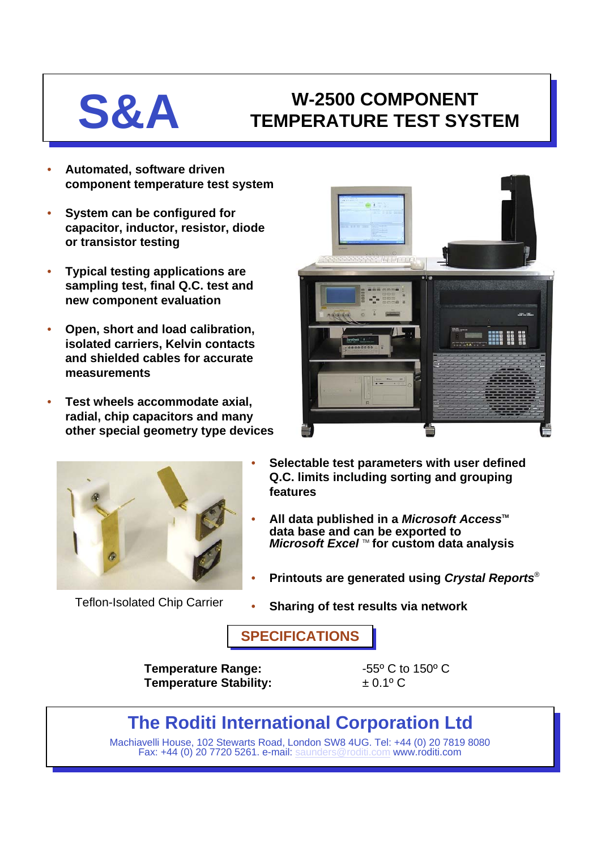# **S&A W-2500 COMPONENT TEMPERATURE TEST SYSTEM**

- **Automated, software driven component temperature test system**
- **System can be configured for capacitor, inductor, resistor, diode or transistor testing**
- **Typical testing applications are sampling test, final Q.C. test and new component evaluation**
- **Open, short and load calibration, isolated carriers, Kelvin contacts and shielded cables for accurate measurements**
- **Test wheels accommodate axial, radial, chip capacitors and many other special geometry type devices**



Teflon-Isolated Chip Carrier



- **Selectable test parameters with user defined Q.C. limits including sorting and grouping features**
- **All data published in a** *Microsoft Access***<sup>™</sup> data base and can be exported to** *Microsoft Excel* TM **for custom data analysis**
- **Printouts are generated using** *Crystal Reports*®
- **Sharing of test results via network**

**SPECIFICATIONS**

**Temperature Range:**  $-55^{\circ}$  C to 150° C **Temperature Stability:** ± 0.1º C

## **The Roditi International Corporation Ltd**

Machiavelli House, 102 Stewarts Road, London SW8 4UG. Tel: +44 (0) 20 7819 8080 Fax: +44 (0) 20 7720 5261. e-mail: [saunders@roditi.com](mailto:saunders@roditi.com) www.roditi.com